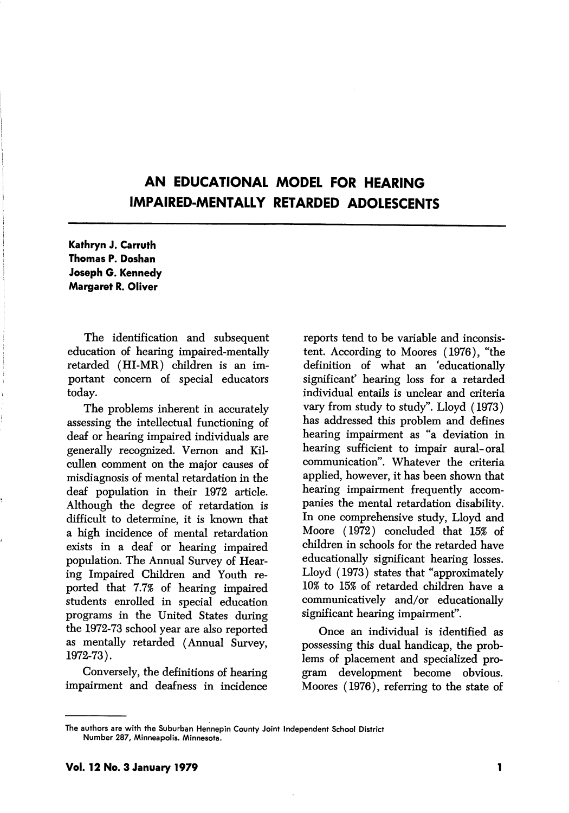# AN EDUCATIONAL MODEL FOR HEARING IMPAIRED-MENTALLY RETARDED ADOLESCENTS

Kathryn J. Carruth Thomas P. Doshan Joseph G. Kennedy Margaret R. Oliver

The identification and subsequent education of hearing impaired-mentally retarded (HI-MR) children is an im portant concern of special educators today.

The problems inherent in accurately assessing the intellectual functioning of deaf or hearing impaired individuals are generally recognized. Vemon and Kilcullen comment on the major causes of misdiagnosis of mental retardation in the deaf population in their 1972 article. Although the degree of retardation is difficult to determine, it is known that a high incidence of mental retardation exists in a deaf or hearing impaired population. The Annual Survey of Hear ing Impaired Children and Youth re ported that 7.7% of hearing impaired students enrolled in special education programs in the United States during the 1972-73 school year are also reported as mentally retarded (Annual Survey, 1972-73).

Conversely, the definitions of hearing impairment and deafness in incidence

reports tend to be variable and inconsis tent. According to Moores (1976), "the definition of what an 'educationally significant' hearing loss for a retarded individual entails is unclear and criteria vary from study to study". Lloyd (1973) has addressed this problem and defines hearing impairment as "a deviation in hearing sufficient to impair aural-oral communication". Whatever the criteria applied, however, it has been shown that hearing impairment frequently accom panies the mental retardation disability. In one comprehensive study, Lloyd and Moore (1972) concluded that 15% of children in schools for the retarded have educationally significant hearing losses. Lloyd (1973) states that "approximately 10% to 15% of retarded children have a communicatively and/or educationally significant hearing impairment".

Once an individual is identified as possessing this dual handicap, the prob lems of placement and specialized pro gram development become obvious. Moores (1976), referring to the state of

The authors are with the Suburban Hennepln County Joint Independent School District Number 287, Minneapolis. Minnesota.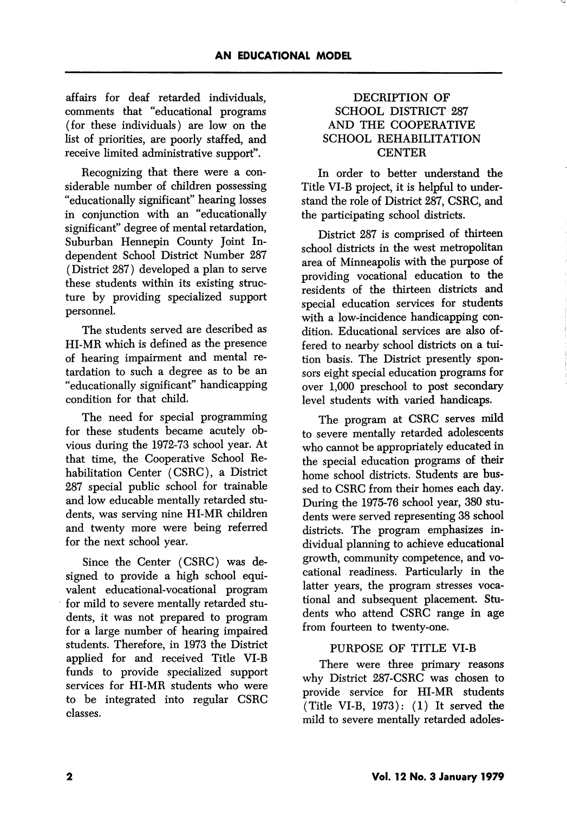affairs for deaf retarded individuals, comments that "educational programs (for these individuals) are low on the list of priorities, are poorly staffed, and receive limited administrative support".

Recognizing that there were a con siderable number of children possessing "educationally significant" hearing losses in conjunction with an "educationally significant" degree of mental retardation. Suburban Hennepin County Joint In dependent School District Number 287 (District 287) developed a plan to serve these students within its existing struc ture by providing specialized support personnel.

The students served are described as HI-MR which is defined as the presence of hearing impairment and mental re tardation to such a degree as to be an "educationally significant" handicapping condition for that child.

The need for special programming for these students became acutely ob vious during the 1972-73 school year. At that time, the Cooperative School Re habilitation Center (CSRC), a District 287 special public school for trainable and low educable mentally retarded stu dents, was serving nine HI-MR children and twenty more were being referred for the next school year.

Since the Center (CSRC) was de signed to provide a high school equivalent educational-vocational program for mild to severe mentally retarded stu dents, it was not prepared to program for a large number of hearing impaired students. Therefore, in 1973 the District applied for and received Title VI-B funds to provide specialized support services for HI-MR students who were to be integrated into regular CSRC classes.

### DECRIPTION OF SCHOOL DISTRICT 287 AND THE COOPERATIVE SCHOOL REHABILITATION **CENTER**

In order to better understand the Title VI-B project, it is helpful to under stand the role of District 287, CSRC, and the participating school districts.

District 287 is comprised of thirteen school districts in the west metropolitan area of Minneapolis with the purpose of providing vocational education to the residents of the thirteen districts and special education services for students with a low-incidence handicapping condition. Educational services are also of fered to nearby school districts on a tui tion basis. The District presently spon sors eight special education programs for over 1,000 preschool to post secondary level students with varied handicaps.

The program at CSRC serves mild to severe mentally retarded adolescents who cannot be appropriately educated in the special education programs of their home school districts. Students are bus sed to CSRC from their homes each day. During the 1975-76 school year, 380 stu dents were served representing 38 school districts. The program emphasizes in dividual planning to achieve educational growth, community competence, and vo cational readiness. Particularly in the latter years, the program stresses voca tional and subsequent placement. Stu dents who attend CSRC range in age from fourteen to twenty-one.

### PURPOSE OF TITLE VI-B

There were three primary reasons why District 287-CSRC was chosen to provide service for HI-MR students (Title VI-B, 1973): (1) It served the mild to severe mentally retarded adoles-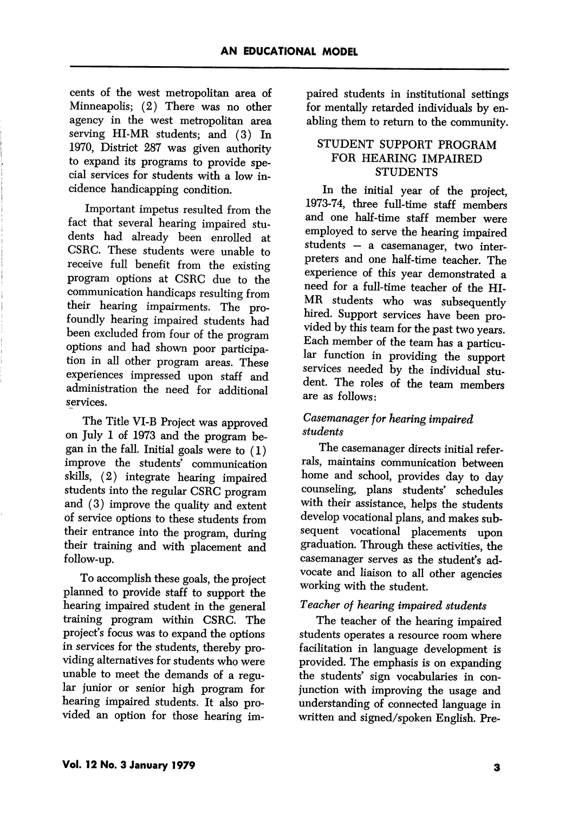cents of the west metropolitan area of Minneapolis; (2) There was no other agency in the west metropolitan area serving HI-MR students; and (3) In 1970, District 287 was given authority to expand its programs to provide special services for students with a low in cidence handicapping condition.

Important impetus resulted from the fact that several hearing impaired stu dents had already been enrolled at CSRC. These students were unable to receive full benefit from the existing program options at CSRC due to the communication handicaps resulting from their hearing impairments. The profoundly hearing impaired students had been excluded from four of the program options and had shown poor participa tion in all other program areas. These experiences impressed upon staff and administration the need for additional services.

The Title VI-B Project was approved on July 1 of 1973 and the program be gan in the fall. Initial goals were to (1) improve the students' communication skills, (2) integrate hearing impaired students into the regular CSRC program and (3) improve the quality and extent of service options to these students from their entrance into the program, during their training and with placement and follow-up.

To accomplish these goals, the project planned to provide staff to support the hearing impaired student in the general training program within CSRC. The project's focus was to expand the options in services for the students, thereby pro viding alternatives for students who were unable to meet the demands of a regu lar junior or senior high program for hearing impaired students. It also pro vided an option for those hearing im

paired students in institutional settings for mentally retarded individuals by en abling them to return to the community.

## STUDENT SUPPORT PROGRAM FOR HEARING IMPAIRED **STUDENTS**

In the initial year of the project, 1973-74, three fuU-time staff members and one half-time staff member were employed to serve the hearing impaired students — a casemanager, two inter preters and one half-time teacher. The experience of this year demonstrated a need for a full-time teacher of the HI-MR students who was subsequently hired. Support services have been provided by this team for the past two years. Each member of the team has a particu lar function in providing the support services needed by the individual student. The roles of the team members are as follows:

## Casemanager for hearing impaired students

The casemanager directs initial refer rals, maintains communication between home and school, provides day to day counseling, plans students' schedules with their assistance, helps the students develop vocational plans, and makes sub sequent vocational placements upon graduation. Through these activities, the casemanager serves as the student's ad vocate and liaison to all other agencies working with the student.

# Teacher of hearing impaired students

The teacher of the hearing impaired students operates a resource room where facilitation in language development is provided. The emphasis is on expanding the students' sign vocabularies in con junction with improving the usage and understanding of connected language in written and signed/spoken English. Pre-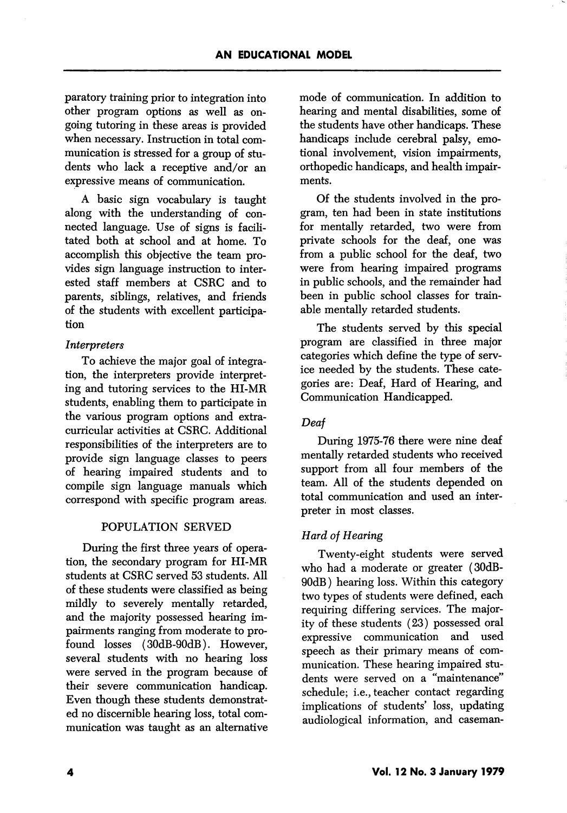paratory training prior to integration into other program options as well as on going tutoring in these areas is provided when necessary. Instruction in total communication is stressed for a group of stu dents who lack a receptive and/or an expressive means of communication.

A basic sign vocabulary is taught along with the understanding of con nected language. Use of signs is facili tated both at school and at home. To accomplish this objective the team pro vides sign language instruction to inter ested staff members at CSRC and to parents, siblings, relatives, and friends of the students with excellent participa tion

### Interpreters

To achieve the major goal of integra tion, the interpreters provide interpret ing and tutoring services to the HI-MR students, enabling them to participate in the various program options and extra curricular activities at CSRC. Additional responsibilities of the interpreters are to provide sign language classes to peers of hearing impaired students and to compile sign language manuals which correspond with specific program areas.

### POPULATION SERVED

During the first three years of opera tion, the secondary program for HI-MR students at CSRC served 53 students. All of these students were classified as being mildly to severely mentally retarded, and the majority possessed hearing im pairments ranging from moderate to pro found losses (30dB-90dB). However, several students with no hearing loss were served in the program because of their severe communication handicap. Even though these students demonstrat ed no discernible hearing loss, total com munication was taught as an alternative

mode of communication. In addition to hearing and mental disabilities, some of the students have other handicaps. These handicaps include cerebral palsy, emo tional involvement, vision impairments, orthopedic handicaps, and health impair ments.

Of the students involved in the pro gram, ten had been in state institutions for mentally retarded, two were from private schools for the deaf, one was from a public school for the deaf, two were from hearing impaired programs in public schools, and the remainder had been in public school classes for trainable mentally retarded students.

The students served by this special program are classified in three major categories which define the type of serv ice needed by the students. These cate gories are: Deaf, Hard of Hearing, and Communication Handicapped.

### Deaf

During 1975-76 there were nine deaf mentally retarded students who received support from all four members of the team. All of the students depended on total communication and used an inter preter in most classes.

### Hard of Hearing

Twenty-eight students were served who had a moderate or greater (30dB-90dB) hearing loss. Within this category two types of students were defined, each requiring differing services. The major ity of these students (23) possessed oral expressive communication and used speech as their primary means of com munication. These hearing impaired stu dents were served on a "maintenance" schedule; i.e., teacher contact regarding implications of students' loss, updating audiological information, and caseman-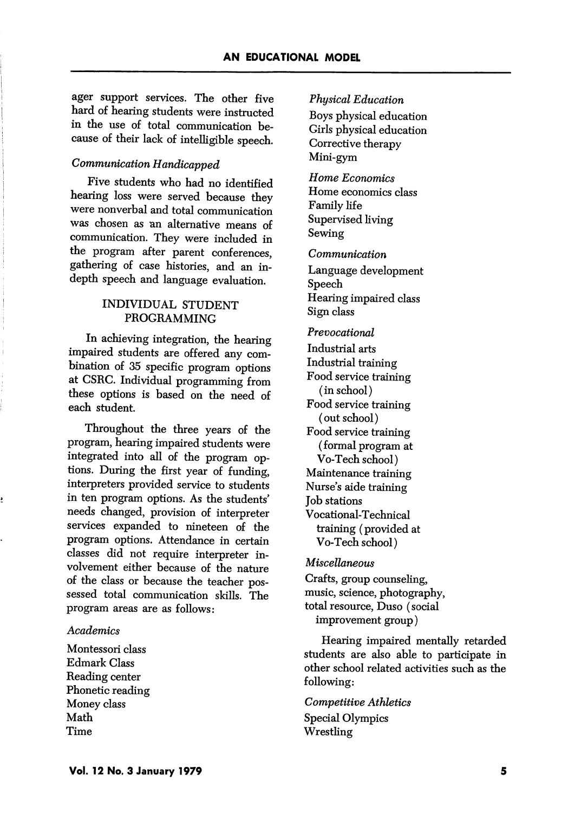ager support services. The other five hard of hearing students were instructed in the use of total communication be cause of their lack of intelligible speech.

# Communication Handicapped

Five students who had no identified hearing loss were served because they were nonverbal and total communication was chosen as an alternative means of communication. They were included in the program after parent conferences, gathering of case histories, and an indepth speech and language evaluation.

### INDIVIDUAL STUDENT PROGRAMMING

In achieving integration, the hearing impaired students are offered any com bination of 35 specific program options at CSRG. Individual programming from these options is based on the need of each student.

Throughout the three years of the program, hearing impaired students were integrated into all of the program op tions. During the first year of funding, interpreters provided service to students in ten program options. As the students' needs changed, provision of interpreter services expanded to nineteen of the program options. Attendance in certain classes did not require interpreter in volvement either because of the nature of the class or because the teacher pos sessed total communication skills. The program areas are as follows:

#### **Academics**

Montessori class Edmark Class Reading center Phonetic reading Money class Math Time

#### Physical Education

Boys physical education Girls physical education Corrective therapy Mini-gym

Home Economics Home economics class Family life Supervised living Sewing

Communication

Language development Speech Hearing impaired class Sign class

Prevocational

Industrial arts Industrial training Food service training (in school) Food service training (out school) Food service training (formal program at Vo-Tech school) Maintenance training Nurse's aide training Job stations Vocational-Technical training (provided at Vo-Tech school)

Miscellaneous

Crafts, group counseling, music, science, photography, total resource, Duso (social improvement group)

Hearing impaired mentally retarded students are also able to participate in other school related activities such as the following:

Competitive Athletics Special Olympics Wrestling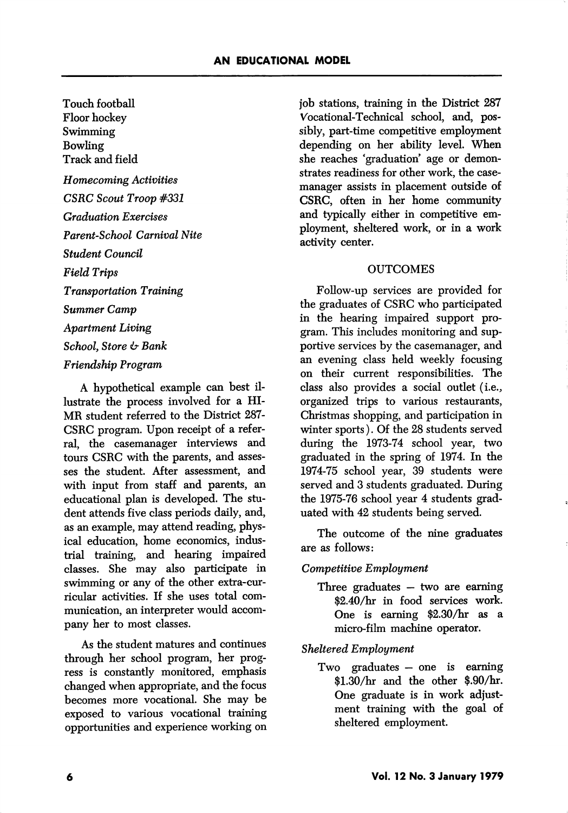Touch football Floor hockey Swimming Bowling Track and field Homecoming Activities CSRC Scout Troop #331 Graduation Exercises Parent-School Carnival Nite Student Council Field Trips Transportation Training Summer Camp Apartment Living School, Store & Bank

### Friendship Program

A hypothetical example can best il lustrate the process involved for a HI-MR student referred to the District 287- CSRC program. Upon receipt of a refer ral, the casemanager interviews and tours CSRC with the parents, and asses ses the student. After assessment, and with input from staff and parents, an educational plan is developed. The stu dent attends five class periods daily, and, as an example, may attend reading, phys ical education, home economics, indus trial training, and hearing impaired classes. She may also participate in swimming or any of the other extra-curricular activities. If she uses total com munication, an interpreter would accom pany her to most classes.

As the student matures and continues through her school program, her prog ress is constantly monitored, emphasis changed when appropriate, and the focus becomes more vocational. She may be exposed to various vocational training opportunities and experience working on job stations, training in the District 287 Vocational-Technical school, and, pos sibly, part-time competitive employment depending on her ability level. When she reaches 'graduation' age or demonstrates readiness for other work, the casemanager assists in placement outside of CSRC, often in her home community and typically either in competitive em ployment, sheltered work, or in a work activity center.

#### **OUTCOMES**

Follow-up services are provided for the graduates of CSRC who participated in the hearing impaired support pro gram. This includes monitoring and sup portive services by the casemanager, and an evening class held weekly focusing on their current responsibilities. The class also provides a social outlet (i.e., organized trips to various restaurants, Christmas shopping, and participation in winter sports). Of the 28 students served during the 1973-74 school year, two graduated in the spring of 1974. In the 1974-75 school year, 39 students were served and 3 students graduated. During the 1975-76 school year 4 students grad uated with 42 students being served.

The outcome of the nine graduates are as follows:

#### Competitive Employment

Three graduates — two are earning \$2.40/hr in food services work. One is earning \$2.30/hr as a micro-film machine operator.

#### Sheltered Employment

Two graduates — one is earning \$1.30/hr and the other \$.90/hr. One graduate is in work adjust ment training with the goal of sheltered employment.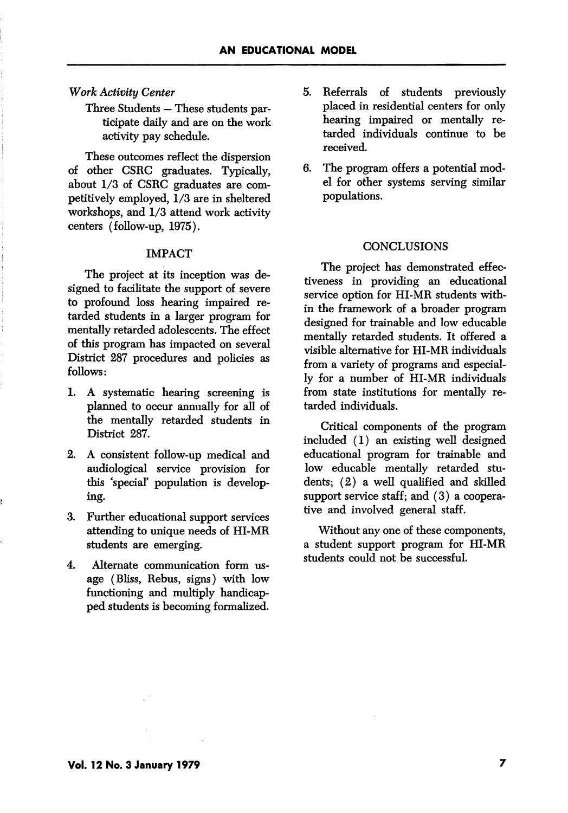#### Work Activity Center

Three Students — These students par ticipate daily and are on the work activity pay schedule.

These outcomes reflect the dispersion of other CSRC graduates. Typically, about 1/3 of CSRC graduates are com petitively employed,  $1/3$  are in sheltered workshops, and 1/3 attend work activity centers (follow-up, 1975).

#### IMPACT

The project at its inception was de signed to facilitate the support of severe to profound loss hearing impaired re tarded students in a larger program for mentally retarded adolescents. The effect of this program has impacted on several District 287 procedures and policies as follows:

- 1. A systematic hearing screening is planned to occur annually for all of the mentally retarded students in District 287.
- 2. A consistent follow-up medical and audiological service provision for this 'special' population is develop ing.
- 3. Further educational support services attending to unique needs of HI-MR students are emerging.
- 4. Alternate communication form us age (Bliss, Rebus, signs) with low functioning and multiply handicap ped students is becoming formalized.
- 5. Referrals of students previously placed in residential centers for only hearing impaired or mentally re tarded individuals continue to be received.
- 6. The program offers a potential mod el for other systems serving similar populations.

#### **CONCLUSIONS**

The project has demonstrated effec tiveness in providing an educational service option for HI-MR students with in the framework of a broader program designed for trainable and low educable mentally retarded students. It offered a visible alternative for HI-MR individuals from a variety of programs and especial ly for a number of HI-MR individuals from state institutions for mentally re tarded individuals.

Critical components of the program included (1) an existing well designed educational program for trainable and low educable mentally retarded stu dents; (2) a well qualified and skilled support service staff; and (3) a coopera tive and involved general staff.

Without any one of these components, a student support program for HI-MR students could not be successful.